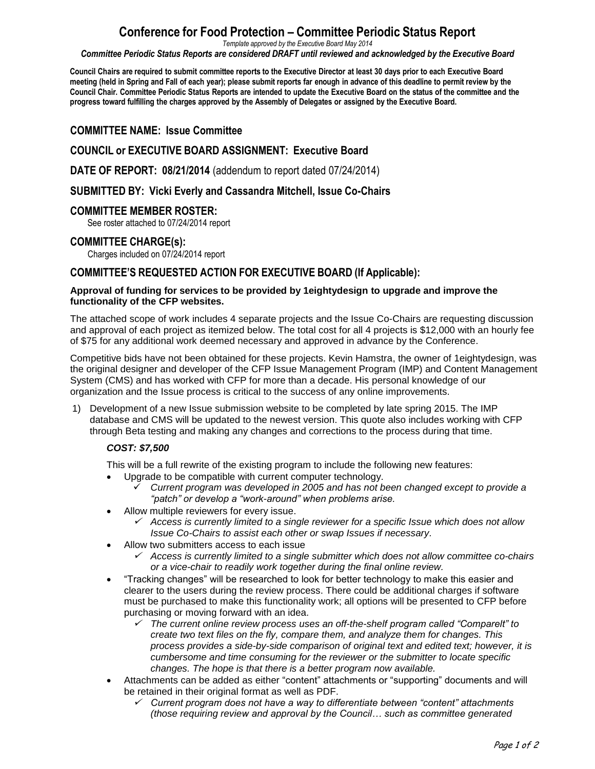# **Conference for Food Protection – Committee Periodic Status Report**

*Template approved by the Executive Board May 2014*

*Committee Periodic Status Reports are considered DRAFT until reviewed and acknowledged by the Executive Board*

Council Chairs are required to submit committee reports to the Executive Director at least 30 days prior to each Executive Board meeting (held in Spring and Fall of each year); please submit reports far enough in advance of this deadline to permit review by the Council Chair. Committee Periodic Status Reports are intended to update the Executive Board on the status of the committee and the **progress toward fulfilling the charges approved by the Assembly of Delegates or assigned by the Executive Board.**

## **COMMITTEE NAME: Issue Committee**

## **COUNCIL or EXECUTIVE BOARD ASSIGNMENT: Executive Board**

**DATE OF REPORT: 08/21/2014** (addendum to report dated 07/24/2014)

### **SUBMITTED BY: Vicki Everly and Cassandra Mitchell, Issue Co-Chairs**

#### **COMMITTEE MEMBER ROSTER:**

See roster attached to 07/24/2014 report

#### **COMMITTEE CHARGE(s):**

Charges included on 07/24/2014 report

## **COMMITTEE'S REQUESTED ACTION FOR EXECUTIVE BOARD (If Applicable):**

#### **Approval of funding for services to be provided by 1eightydesign to upgrade and improve the functionality of the CFP websites.**

The attached scope of work includes 4 separate projects and the Issue Co-Chairs are requesting discussion and approval of each project as itemized below. The total cost for all 4 projects is \$12,000 with an hourly fee of \$75 for any additional work deemed necessary and approved in advance by the Conference.

Competitive bids have not been obtained for these projects. Kevin Hamstra, the owner of 1eightydesign, was the original designer and developer of the CFP Issue Management Program (IMP) and Content Management System (CMS) and has worked with CFP for more than a decade. His personal knowledge of our organization and the Issue process is critical to the success of any online improvements.

1) Development of a new Issue submission website to be completed by late spring 2015. The IMP database and CMS will be updated to the newest version. This quote also includes working with CFP through Beta testing and making any changes and corrections to the process during that time.

## *COST: \$7,500*

This will be a full rewrite of the existing program to include the following new features:

- Upgrade to be compatible with current computer technology.
	- *Current program was developed in 2005 and has not been changed except to provide a "patch" or develop a "work-around" when problems arise.*
- Allow multiple reviewers for every issue.
	- *Access is currently limited to a single reviewer for a specific Issue which does not allow Issue Co-Chairs to assist each other or swap Issues if necessary.*
- Allow two submitters access to each issue
	- *Access is currently limited to a single submitter which does not allow committee co-chairs or a vice-chair to readily work together during the final online review.*
- "Tracking changes" will be researched to look for better technology to make this easier and clearer to the users during the review process. There could be additional charges if software must be purchased to make this functionality work; all options will be presented to CFP before purchasing or moving forward with an idea.
	- ✓ *The current online review process uses an off-the-shelf program called "Comparelt" to create two text files on the fly, compare them, and analyze them for changes. This process provides a side-by-side comparison of original text and edited text; however, it is cumbersome and time consuming for the reviewer or the submitter to locate specific changes. The hope is that there is a better program now available.*
- Attachments can be added as either "content" attachments or "supporting" documents and will be retained in their original format as well as PDF.
	- *Current program does not have a way to differentiate between "content" attachments (those requiring review and approval by the Council… such as committee generated*